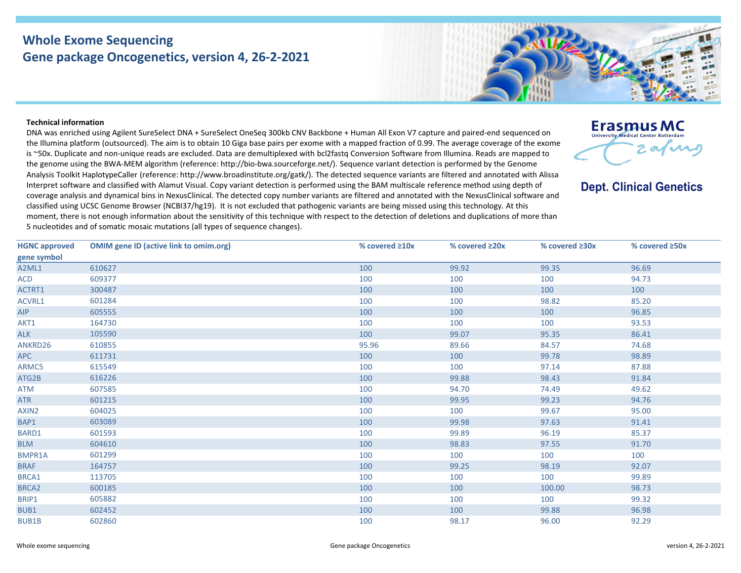## **Whole Exome Sequencing Gene package Oncogenetics, version 4, 26-2-2021**



**Erasmus MC University Medical Center Rotterdam** 

**Dept. Clinical Genetics** 

2 avenue

## **Technical information**

DNA was enriched using Agilent SureSelect DNA + SureSelect OneSeq 300kb CNV Backbone + Human All Exon V7 capture and paired-end sequenced on the Illumina platform (outsourced). The aim is to obtain 10 Giga base pairs per exome with a mapped fraction of 0.99. The average coverage of the exome is ~50x. Duplicate and non-unique reads are excluded. Data are demultiplexed with bcl2fastq Conversion Software from Illumina. Reads are mapped to the genome using the BWA-MEM algorithm (reference: http://bio-bwa.sourceforge.net/). Sequence variant detection is performed by the Genome Analysis Toolkit HaplotypeCaller (reference: http://www.broadinstitute.org/gatk/). The detected sequence variants are filtered and annotated with Alissa Interpret software and classified with Alamut Visual. Copy variant detection is performed using the BAM multiscale reference method using depth of coverage analysis and dynamical bins in NexusClinical. The detected copy number variants are filtered and annotated with the NexusClinical software and classified using UCSC Genome Browser (NCBI37/hg19). It is not excluded that pathogenic variants are being missed using this technology. At this moment, there is not enough information about the sensitivity of this technique with respect to the detection of deletions and duplications of more than 5 nucleotides and of somatic mosaic mutations (all types of sequence changes).

| <b>HGNC approved</b> | <b>OMIM gene ID (active link to omim.org)</b> | % covered $\geq 10x$ | % covered ≥20x | % covered ≥30x | % covered ≥50x |
|----------------------|-----------------------------------------------|----------------------|----------------|----------------|----------------|
| gene symbol          |                                               |                      |                |                |                |
| A2ML1                | 610627                                        | 100                  | 99.92          | 99.35          | 96.69          |
| <b>ACD</b>           | 609377                                        | 100                  | 100            | 100            | 94.73          |
| ACTRT1               | 300487                                        | 100                  | 100            | 100            | 100            |
| ACVRL1               | 601284                                        | 100                  | 100            | 98.82          | 85.20          |
| AIP                  | 605555                                        | 100                  | 100            | 100            | 96.85          |
| AKT1                 | 164730                                        | 100                  | 100            | 100            | 93.53          |
| <b>ALK</b>           | 105590                                        | 100                  | 99.07          | 95.35          | 86.41          |
| ANKRD26              | 610855                                        | 95.96                | 89.66          | 84.57          | 74.68          |
| <b>APC</b>           | 611731                                        | 100                  | 100            | 99.78          | 98.89          |
| ARMC5                | 615549                                        | 100                  | 100            | 97.14          | 87.88          |
| ATG2B                | 616226                                        | 100                  | 99.88          | 98.43          | 91.84          |
| <b>ATM</b>           | 607585                                        | 100                  | 94.70          | 74.49          | 49.62          |
| <b>ATR</b>           | 601215                                        | 100                  | 99.95          | 99.23          | 94.76          |
| AXIN2                | 604025                                        | 100                  | 100            | 99.67          | 95.00          |
| BAP1                 | 603089                                        | 100                  | 99.98          | 97.63          | 91.41          |
| BARD1                | 601593                                        | 100                  | 99.89          | 96.19          | 85.37          |
| <b>BLM</b>           | 604610                                        | 100                  | 98.83          | 97.55          | 91.70          |
| <b>BMPR1A</b>        | 601299                                        | 100                  | 100            | 100            | 100            |
| <b>BRAF</b>          | 164757                                        | 100                  | 99.25          | 98.19          | 92.07          |
| BRCA1                | 113705                                        | 100                  | 100            | 100            | 99.89          |
| BRCA <sub>2</sub>    | 600185                                        | 100                  | 100            | 100.00         | 98.73          |
| BRIP1                | 605882                                        | 100                  | 100            | 100            | 99.32          |
| BUB1                 | 602452                                        | 100                  | 100            | 99.88          | 96.98          |
| <b>BUB1B</b>         | 602860                                        | 100                  | 98.17          | 96.00          | 92.29          |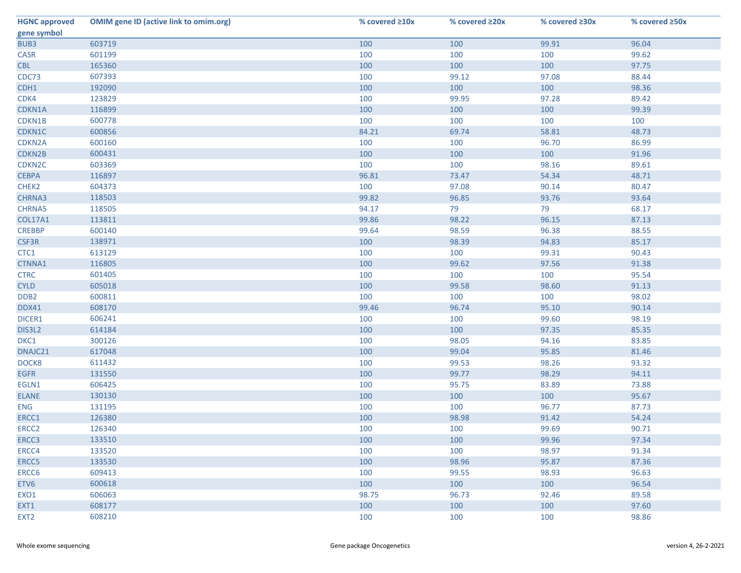| <b>HGNC approved</b> | <b>OMIM gene ID (active link to omim.org)</b> | % covered $\geq 10x$ | % covered ≥20x | % covered ≥30x | % covered ≥50x |
|----------------------|-----------------------------------------------|----------------------|----------------|----------------|----------------|
| gene symbol          |                                               |                      |                |                |                |
| BUB3                 | 603719                                        | 100                  | 100            | 99.91          | 96.04          |
| <b>CASR</b>          | 601199                                        | 100                  | 100            | 100            | 99.62          |
| <b>CBL</b>           | 165360                                        | 100                  | 100            | 100            | 97.75          |
| CDC73                | 607393                                        | 100                  | 99.12          | 97.08          | 88.44          |
| CDH1                 | 192090                                        | 100                  | 100            | 100            | 98.36          |
| CDK4                 | 123829                                        | 100                  | 99.95          | 97.28          | 89.42          |
| CDKN1A               | 116899                                        | 100                  | 100            | 100            | 99.39          |
| CDKN1B               | 600778                                        | 100                  | 100            | 100            | 100            |
| CDKN1C               | 600856                                        | 84.21                | 69.74          | 58.81          | 48.73          |
| CDKN2A               | 600160                                        | 100                  | 100            | 96.70          | 86.99          |
| CDKN2B               | 600431                                        | 100                  | 100            | 100            | 91.96          |
| CDKN <sub>2C</sub>   | 603369                                        | 100                  | 100            | 98.16          | 89.61          |
| <b>CEBPA</b>         | 116897                                        | 96.81                | 73.47          | 54.34          | 48.71          |
| CHEK2                | 604373                                        | 100                  | 97.08          | 90.14          | 80.47          |
| CHRNA3               | 118503                                        | 99.82                | 96.85          | 93.76          | 93.64          |
| <b>CHRNA5</b>        | 118505                                        | 94.17                | 79             | 79             | 68.17          |
| <b>COL17A1</b>       | 113811                                        | 99.86                | 98.22          | 96.15          | 87.13          |
| <b>CREBBP</b>        | 600140                                        | 99.64                | 98.59          | 96.38          | 88.55          |
| CSF3R                | 138971                                        | 100                  | 98.39          | 94.83          | 85.17          |
| CTC1                 | 613129                                        | 100                  | 100            | 99.31          | 90.43          |
| CTNNA1               | 116805                                        | 100                  | 99.62          | 97.56          | 91.38          |
| <b>CTRC</b>          | 601405                                        | 100                  | 100            | 100            | 95.54          |
| <b>CYLD</b>          | 605018                                        | 100                  | 99.58          | 98.60          | 91.13          |
| DDB <sub>2</sub>     | 600811                                        | 100                  | 100            | 100            | 98.02          |
| DDX41                | 608170                                        | 99.46                | 96.74          | 95.10          | 90.14          |
| DICER1               | 606241                                        | 100                  | 100            | 99.60          | 98.19          |
| DIS3L2               | 614184                                        | 100                  | 100            | 97.35          | 85.35          |
| DKC1                 | 300126                                        | 100                  | 98.05          | 94.16          | 83.85          |
| DNAJC21              | 617048                                        | 100                  | 99.04          | 95.85          | 81.46          |
| DOCK8                | 611432                                        | 100                  | 99.53          | 98.26          | 93.32          |
| <b>EGFR</b>          | 131550                                        | 100                  | 99.77          | 98.29          | 94.11          |
| EGLN1                | 606425                                        | 100                  | 95.75          | 83.89          | 73.88          |
| <b>ELANE</b>         | 130130                                        | 100                  | 100            | 100            | 95.67          |
| <b>ENG</b>           | 131195                                        | 100                  | 100            | 96.77          | 87.73          |
| ERCC1                | 126380                                        | 100                  | 98.98          | 91.42          | 54.24          |
| ERCC <sub>2</sub>    | 126340                                        | 100                  | 100            | 99.69          | 90.71          |
| ERCC3                | 133510                                        | 100                  | 100            | 99.96          | 97.34          |
| ERCC4                | 133520                                        | 100                  | 100            | 98.97          | 91.34          |
| ERCC5                | 133530                                        | 100                  | 98.96          | 95.87          | 87.36          |
| ERCC6                | 609413                                        | 100                  | 99.55          | 98.93          | 96.63          |
| ETV6                 | 600618                                        | 100                  | 100            | 100            | 96.54          |
| EXO1                 | 606063                                        | 98.75                | 96.73          | 92.46          | 89.58          |
| EXT1                 | 608177                                        | 100                  | 100            | 100            | 97.60          |
| EXT <sub>2</sub>     | 608210                                        | 100                  | 100            | 100            | 98.86          |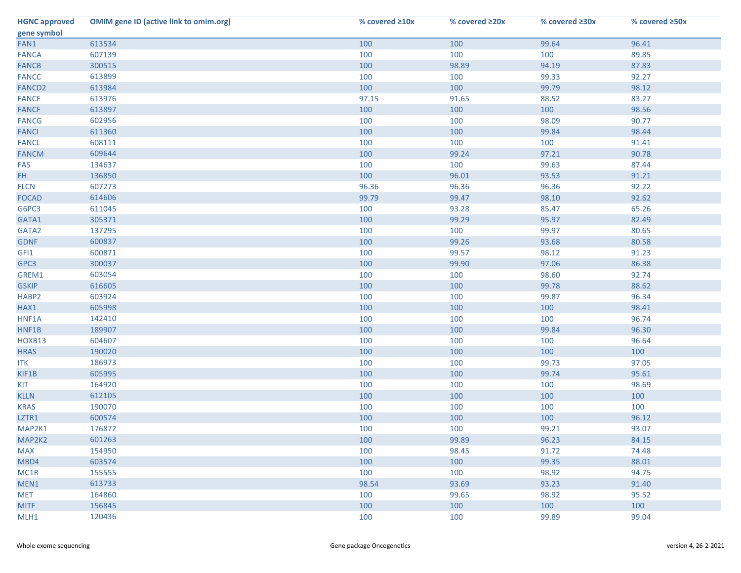| <b>HGNC approved</b> | <b>OMIM gene ID (active link to omim.org)</b> | % covered $\geq 10x$ | % covered ≥20x | % covered ≥30x | % covered ≥50x |
|----------------------|-----------------------------------------------|----------------------|----------------|----------------|----------------|
| gene symbol          |                                               |                      |                |                |                |
| FAN1                 | 613534                                        | 100                  | 100            | 99.64          | 96.41          |
| <b>FANCA</b>         | 607139                                        | 100                  | 100            | 100            | 89.85          |
| <b>FANCB</b>         | 300515                                        | 100                  | 98.89          | 94.19          | 87.83          |
| <b>FANCC</b>         | 613899                                        | 100                  | 100            | 99.33          | 92.27          |
| FANCD <sub>2</sub>   | 613984                                        | 100                  | 100            | 99.79          | 98.12          |
| <b>FANCE</b>         | 613976                                        | 97.15                | 91.65          | 88.52          | 83.27          |
| <b>FANCF</b>         | 613897                                        | 100                  | 100            | 100            | 98.56          |
| <b>FANCG</b>         | 602956                                        | 100                  | 100            | 98.09          | 90.77          |
| <b>FANCI</b>         | 611360                                        | 100                  | 100            | 99.84          | 98.44          |
| <b>FANCL</b>         | 608111                                        | 100                  | 100            | 100            | 91.41          |
| <b>FANCM</b>         | 609644                                        | 100                  | 99.24          | 97.21          | 90.78          |
| FAS                  | 134637                                        | 100                  | 100            | 99.63          | 87.44          |
| FH.                  | 136850                                        | 100                  | 96.01          | 93.53          | 91.21          |
| <b>FLCN</b>          | 607273                                        | 96.36                | 96.36          | 96.36          | 92.22          |
| <b>FOCAD</b>         | 614606                                        | 99.79                | 99.47          | 98.10          | 92.62          |
| G6PC3                | 611045                                        | 100                  | 93.28          | 85.47          | 65.26          |
| GATA1                | 305371                                        | 100                  | 99.29          | 95.97          | 82.49          |
| GATA2                | 137295                                        | 100                  | 100            | 99.97          | 80.65          |
| <b>GDNF</b>          | 600837                                        | 100                  | 99.26          | 93.68          | 80.58          |
| GFI1                 | 600871                                        | 100                  | 99.57          | 98.12          | 91.23          |
| GPC3                 | 300037                                        | 100                  | 99.90          | 97.06          | 86.38          |
| GREM1                | 603054                                        | 100                  | 100            | 98.60          | 92.74          |
| <b>GSKIP</b>         | 616605                                        | 100                  | 100            | 99.78          | 88.62          |
| HABP2                | 603924                                        | 100                  | 100            | 99.87          | 96.34          |
| HAX1                 | 605998                                        | 100                  | 100            | 100            | 98.41          |
| HNF1A                | 142410                                        | 100                  | 100            | 100            | 96.74          |
| HNF1B                | 189907                                        | 100                  | 100            | 99.84          | 96.30          |
| HOXB13               | 604607                                        | 100                  | 100            | 100            | 96.64          |
| <b>HRAS</b>          | 190020                                        | 100                  | 100            | 100            | 100            |
| <b>ITK</b>           | 186973                                        | 100                  | 100            | 99.73          | 97.05          |
| KIF1B                | 605995                                        | 100                  | 100            | 99.74          | 95.61          |
| <b>KIT</b>           | 164920                                        | 100                  | 100            | 100            | 98.69          |
| <b>KLLN</b>          | 612105                                        | 100                  | 100            | 100            | 100            |
| <b>KRAS</b>          | 190070                                        | 100                  | 100            | 100            | 100            |
| LZTR1                | 600574                                        | 100                  | 100            | 100            | 96.12          |
| MAP2K1               | 176872                                        | 100                  | 100            | 99.21          | 93.07          |
| MAP2K2               | 601263                                        | 100                  | 99.89          | 96.23          | 84.15          |
| <b>MAX</b>           | 154950                                        | 100                  | 98.45          | 91.72          | 74.48          |
| MBD4                 | 603574                                        | 100                  | 100            | 99.35          | 88.01          |
| MC1R                 | 155555                                        | 100                  | 100            | 98.92          | 94.75          |
| MEN1                 | 613733                                        | 98.54                | 93.69          | 93.23          | 91.40          |
| <b>MET</b>           | 164860                                        | 100                  | 99.65          | 98.92          | 95.52          |
| <b>MITF</b>          | 156845                                        | 100                  | 100            | 100            | 100            |
| MLH1                 | 120436                                        | 100                  | 100            | 99.89          | 99.04          |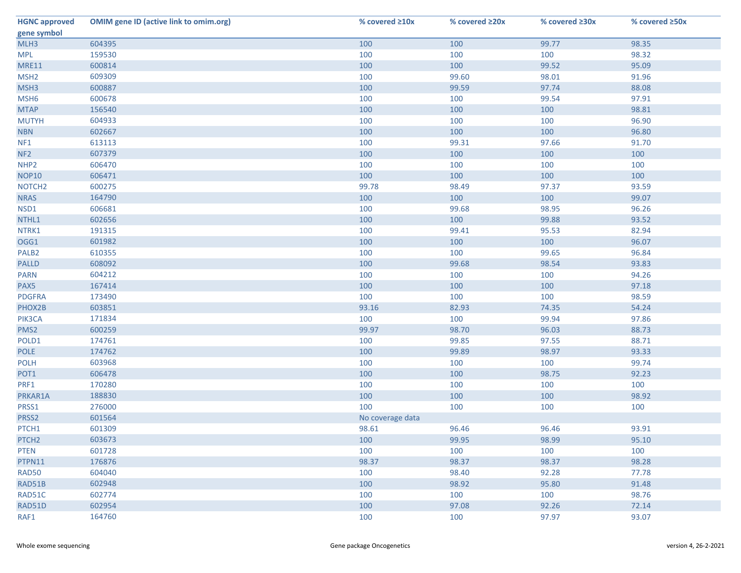| <b>HGNC approved</b> | <b>OMIM gene ID (active link to omim.org)</b> | % covered $\geq 10x$ | % covered ≥20x | % covered ≥30x | % covered ≥50x |
|----------------------|-----------------------------------------------|----------------------|----------------|----------------|----------------|
| gene symbol          |                                               |                      |                |                |                |
| MLH3                 | 604395                                        | 100                  | 100            | 99.77          | 98.35          |
| <b>MPL</b>           | 159530                                        | 100                  | 100            | 100            | 98.32          |
| <b>MRE11</b>         | 600814                                        | 100                  | 100            | 99.52          | 95.09          |
| MSH <sub>2</sub>     | 609309                                        | 100                  | 99.60          | 98.01          | 91.96          |
| MSH <sub>3</sub>     | 600887                                        | 100                  | 99.59          | 97.74          | 88.08          |
| MSH <sub>6</sub>     | 600678                                        | 100                  | 100            | 99.54          | 97.91          |
| <b>MTAP</b>          | 156540                                        | 100                  | 100            | 100            | 98.81          |
| <b>MUTYH</b>         | 604933                                        | 100                  | 100            | 100            | 96.90          |
| <b>NBN</b>           | 602667                                        | 100                  | 100            | 100            | 96.80          |
| NF1                  | 613113                                        | 100                  | 99.31          | 97.66          | 91.70          |
| NF <sub>2</sub>      | 607379                                        | 100                  | 100            | 100            | 100            |
| NHP <sub>2</sub>     | 606470                                        | 100                  | 100            | 100            | 100            |
| <b>NOP10</b>         | 606471                                        | 100                  | 100            | 100            | 100            |
| NOTCH <sub>2</sub>   | 600275                                        | 99.78                | 98.49          | 97.37          | 93.59          |
| <b>NRAS</b>          | 164790                                        | 100                  | 100            | 100            | 99.07          |
| NSD1                 | 606681                                        | 100                  | 99.68          | 98.95          | 96.26          |
| NTHL1                | 602656                                        | 100                  | 100            | 99.88          | 93.52          |
| NTRK1                | 191315                                        | 100                  | 99.41          | 95.53          | 82.94          |
| OGG1                 | 601982                                        | 100                  | 100            | 100            | 96.07          |
| PALB <sub>2</sub>    | 610355                                        | 100                  | 100            | 99.65          | 96.84          |
| <b>PALLD</b>         | 608092                                        | 100                  | 99.68          | 98.54          | 93.83          |
| <b>PARN</b>          | 604212                                        | 100                  | 100            | 100            | 94.26          |
| PAX5                 | 167414                                        | 100                  | 100            | 100            | 97.18          |
| <b>PDGFRA</b>        | 173490                                        | 100                  | 100            | 100            | 98.59          |
| PHOX2B               | 603851                                        | 93.16                | 82.93          | 74.35          | 54.24          |
| PIK3CA               | 171834                                        | 100                  | 100            | 99.94          | 97.86          |
| PMS <sub>2</sub>     | 600259                                        | 99.97                | 98.70          | 96.03          | 88.73          |
| POLD1                | 174761                                        | 100                  | 99.85          | 97.55          | 88.71          |
| <b>POLE</b>          | 174762                                        | 100                  | 99.89          | 98.97          | 93.33          |
| <b>POLH</b>          | 603968                                        | 100                  | 100            | 100            | 99.74          |
| POT1                 | 606478                                        | 100                  | 100            | 98.75          | 92.23          |
| PRF1                 | 170280                                        | 100                  | 100            | 100            | 100            |
| PRKAR1A              | 188830                                        | 100                  | 100            | 100            | 98.92          |
| PRSS1                | 276000                                        | 100                  | 100            | 100            | 100            |
| PRSS2                | 601564                                        | No coverage data     |                |                |                |
| PTCH1                | 601309                                        | 98.61                | 96.46          | 96.46          | 93.91          |
| PTCH <sub>2</sub>    | 603673                                        | 100                  | 99.95          | 98.99          | 95.10          |
| <b>PTEN</b>          | 601728                                        | 100                  | 100            | 100            | 100            |
| PTPN11               | 176876                                        | 98.37                | 98.37          | 98.37          | 98.28          |
| <b>RAD50</b>         | 604040                                        | 100                  | 98.40          | 92.28          | 77.78          |
| RAD51B               | 602948                                        | 100                  | 98.92          | 95.80          | 91.48          |
| RAD51C               | 602774                                        | 100                  | 100            | 100            | 98.76          |
| RAD51D               | 602954                                        | 100                  | 97.08          | 92.26          | 72.14          |
| RAF1                 | 164760                                        | 100                  | 100            | 97.97          | 93.07          |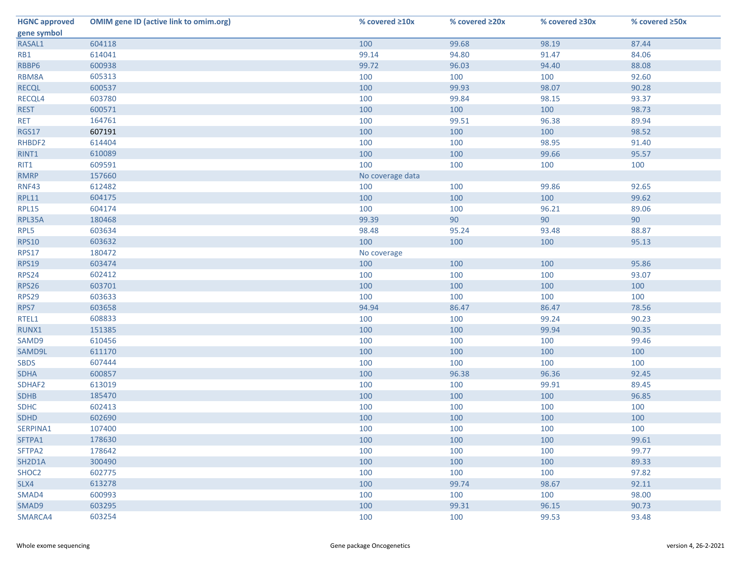| <b>HGNC approved</b> | <b>OMIM gene ID (active link to omim.org)</b> | % covered ≥10x   | % covered ≥20x | % covered ≥30x | % covered ≥50x |
|----------------------|-----------------------------------------------|------------------|----------------|----------------|----------------|
| gene symbol          |                                               |                  |                |                |                |
| RASAL1               | 604118                                        | 100              | 99.68          | 98.19          | 87.44          |
| RB1                  | 614041                                        | 99.14            | 94.80          | 91.47          | 84.06          |
| RBBP6                | 600938                                        | 99.72            | 96.03          | 94.40          | 88.08          |
| RBM8A                | 605313                                        | 100              | 100            | 100            | 92.60          |
| <b>RECQL</b>         | 600537                                        | 100              | 99.93          | 98.07          | 90.28          |
| RECQL4               | 603780                                        | 100              | 99.84          | 98.15          | 93.37          |
| <b>REST</b>          | 600571                                        | 100              | 100            | 100            | 98.73          |
| <b>RET</b>           | 164761                                        | 100              | 99.51          | 96.38          | 89.94          |
| <b>RGS17</b>         | 607191                                        | 100              | 100            | 100            | 98.52          |
| RHBDF2               | 614404                                        | 100              | 100            | 98.95          | 91.40          |
| RINT1                | 610089                                        | 100              | 100            | 99.66          | 95.57          |
| RIT1                 | 609591                                        | 100              | 100            | 100            | 100            |
| <b>RMRP</b>          | 157660                                        | No coverage data |                |                |                |
| <b>RNF43</b>         | 612482                                        | 100              | 100            | 99.86          | 92.65          |
| <b>RPL11</b>         | 604175                                        | 100              | 100            | 100            | 99.62          |
| <b>RPL15</b>         | 604174                                        | 100              | 100            | 96.21          | 89.06          |
| RPL35A               | 180468                                        | 99.39            | 90             | 90             | 90             |
| RPL5                 | 603634                                        | 98.48            | 95.24          | 93.48          | 88.87          |
| <b>RPS10</b>         | 603632                                        | 100              | 100            | 100            | 95.13          |
| <b>RPS17</b>         | 180472                                        | No coverage      |                |                |                |
| <b>RPS19</b>         | 603474                                        | 100              | 100            | 100            | 95.86          |
| RPS24                | 602412                                        | 100              | 100            | 100            | 93.07          |
| <b>RPS26</b>         | 603701                                        | 100              | 100            | 100            | 100            |
| RPS29                | 603633                                        | 100              | 100            | 100            | 100            |
| RPS7                 | 603658                                        | 94.94            | 86.47          | 86.47          | 78.56          |
| RTEL1                | 608833                                        | 100              | 100            | 99.24          | 90.23          |
| RUNX1                | 151385                                        | 100              | 100            | 99.94          | 90.35          |
| SAMD9                | 610456                                        | 100              | 100            | 100            | 99.46          |
| SAMD9L               | 611170                                        | 100              | 100            | 100            | 100            |
| <b>SBDS</b>          | 607444                                        | 100              | 100            | 100            | 100            |
| <b>SDHA</b>          | 600857                                        | 100              | 96.38          | 96.36          | 92.45          |
| SDHAF2               | 613019                                        | 100              | 100            | 99.91          | 89.45          |
| <b>SDHB</b>          | 185470                                        | 100              | 100            | 100            | 96.85          |
| <b>SDHC</b>          | 602413                                        | 100              | 100            | 100            | 100            |
| <b>SDHD</b>          | 602690                                        | 100              | 100            | 100            | 100            |
| SERPINA1             | 107400                                        | 100              | 100            | 100            | 100            |
| SFTPA1               | 178630                                        | 100              | 100            | 100            | 99.61          |
| SFTPA2               | 178642                                        | 100              | 100            | 100            | 99.77          |
| SH2D1A               | 300490                                        | 100              | 100            | 100            | 89.33          |
| SHOC <sub>2</sub>    | 602775                                        | 100              | 100            | 100            | 97.82          |
| SLX4                 | 613278                                        | 100              | 99.74          | 98.67          | 92.11          |
| SMAD4                | 600993                                        | 100              | 100            | 100            | 98.00          |
| SMAD9                | 603295                                        | 100              | 99.31          | 96.15          | 90.73          |
| SMARCA4              | 603254                                        | 100              | 100            | 99.53          | 93.48          |